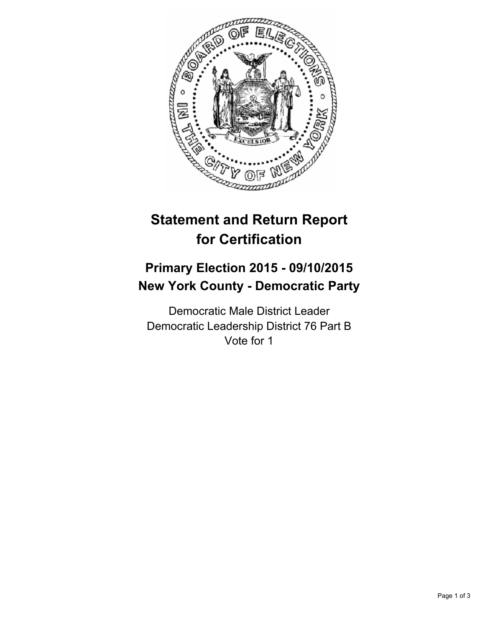

## **Statement and Return Report for Certification**

## **Primary Election 2015 - 09/10/2015 New York County - Democratic Party**

Democratic Male District Leader Democratic Leadership District 76 Part B Vote for 1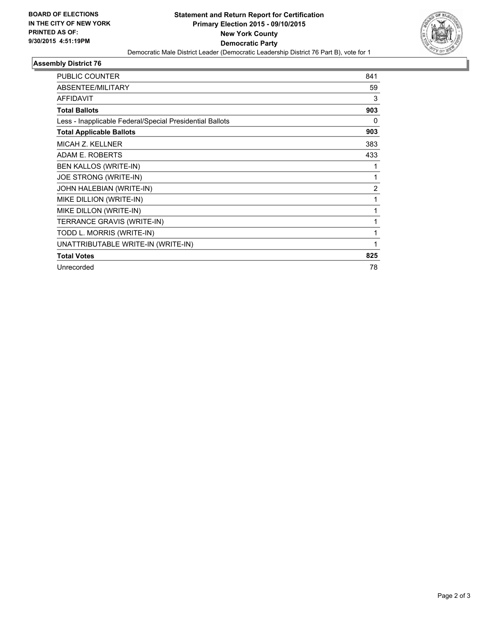

## **Assembly District 76**

| <b>PUBLIC COUNTER</b>                                    | 841            |
|----------------------------------------------------------|----------------|
| <b>ABSENTEE/MILITARY</b>                                 | 59             |
| <b>AFFIDAVIT</b>                                         | 3              |
| <b>Total Ballots</b>                                     | 903            |
| Less - Inapplicable Federal/Special Presidential Ballots | 0              |
| <b>Total Applicable Ballots</b>                          | 903            |
| MICAH Z. KELLNER                                         | 383            |
| <b>ADAM E. ROBERTS</b>                                   | 433            |
| BEN KALLOS (WRITE-IN)                                    | 1              |
| JOE STRONG (WRITE-IN)                                    | 1              |
| JOHN HALEBIAN (WRITE-IN)                                 | $\overline{2}$ |
| MIKE DILLION (WRITE-IN)                                  | 1              |
| MIKE DILLON (WRITE-IN)                                   | 1              |
| TERRANCE GRAVIS (WRITE-IN)                               | 1              |
| TODD L. MORRIS (WRITE-IN)                                |                |
| UNATTRIBUTABLE WRITE-IN (WRITE-IN)                       | 1              |
| <b>Total Votes</b>                                       | 825            |
| Unrecorded                                               | 78             |